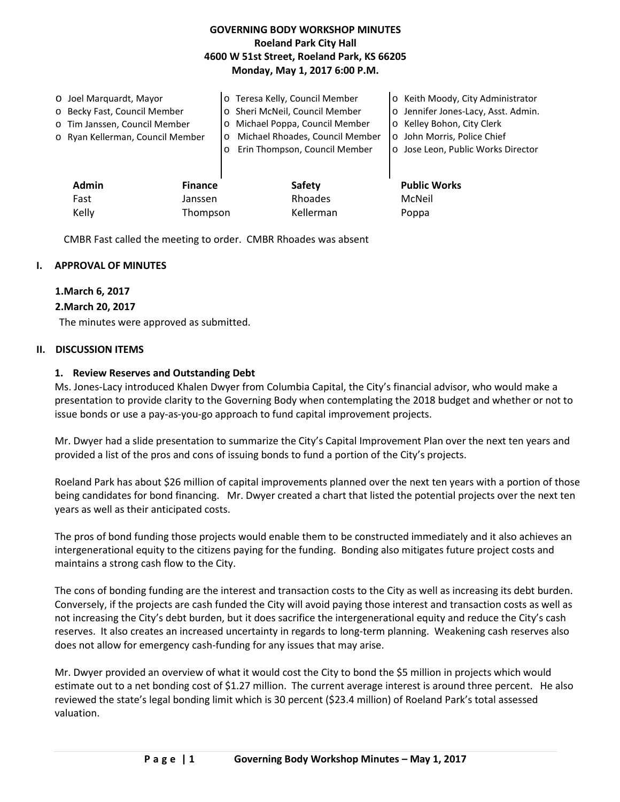# **GOVERNING BODY WORKSHOP MINUTES Roeland Park City Hall 4600 W 51st Street, Roeland Park, KS 66205 Monday, May 1, 2017 6:00 P.M.**

| O Joel Marquardt, Mayor<br>o Becky Fast, Council Member<br>o Tim Janssen, Council Member<br>o Ryan Kellerman, Council Member | $\circ$<br>$\circ$<br>$\circ$ | o Teresa Kelly, Council Member<br>o Sheri McNeil, Council Member<br>Michael Poppa, Council Member<br>Michael Rhoades, Council Member<br>Erin Thompson, Council Member | o Keith Moody, City Administrator<br>o Jennifer Jones-Lacy, Asst. Admin.<br>o Kelley Bohon, City Clerk<br>o John Morris, Police Chief<br>o Jose Leon, Public Works Director |
|------------------------------------------------------------------------------------------------------------------------------|-------------------------------|-----------------------------------------------------------------------------------------------------------------------------------------------------------------------|-----------------------------------------------------------------------------------------------------------------------------------------------------------------------------|
| Admin<br>Fast                                                                                                                | <b>Finance</b><br>Janssen     | Safety<br>Rhoades                                                                                                                                                     | <b>Public Works</b><br>McNeil                                                                                                                                               |
| Kelly                                                                                                                        | Thompson                      | Kellerman                                                                                                                                                             | Poppa                                                                                                                                                                       |

CMBR Fast called the meeting to order. CMBR Rhoades was absent

#### **I. APPROVAL OF MINUTES**

#### **1.March 6, 2017**

#### **2.March 20, 2017**

The minutes were approved as submitted.

#### **II. DISCUSSION ITEMS**

#### **1. Review Reserves and Outstanding Debt**

Ms. Jones-Lacy introduced Khalen Dwyer from Columbia Capital, the City's financial advisor, who would make a presentation to provide clarity to the Governing Body when contemplating the 2018 budget and whether or not to issue bonds or use a pay-as-you-go approach to fund capital improvement projects.

Mr. Dwyer had a slide presentation to summarize the City's Capital Improvement Plan over the next ten years and provided a list of the pros and cons of issuing bonds to fund a portion of the City's projects.

Roeland Park has about \$26 million of capital improvements planned over the next ten years with a portion of those being candidates for bond financing. Mr. Dwyer created a chart that listed the potential projects over the next ten years as well as their anticipated costs.

The pros of bond funding those projects would enable them to be constructed immediately and it also achieves an intergenerational equity to the citizens paying for the funding. Bonding also mitigates future project costs and maintains a strong cash flow to the City.

The cons of bonding funding are the interest and transaction costs to the City as well as increasing its debt burden. Conversely, if the projects are cash funded the City will avoid paying those interest and transaction costs as well as not increasing the City's debt burden, but it does sacrifice the intergenerational equity and reduce the City's cash reserves. It also creates an increased uncertainty in regards to long-term planning. Weakening cash reserves also does not allow for emergency cash-funding for any issues that may arise.

Mr. Dwyer provided an overview of what it would cost the City to bond the \$5 million in projects which would estimate out to a net bonding cost of \$1.27 million. The current average interest is around three percent. He also reviewed the state's legal bonding limit which is 30 percent (\$23.4 million) of Roeland Park's total assessed valuation.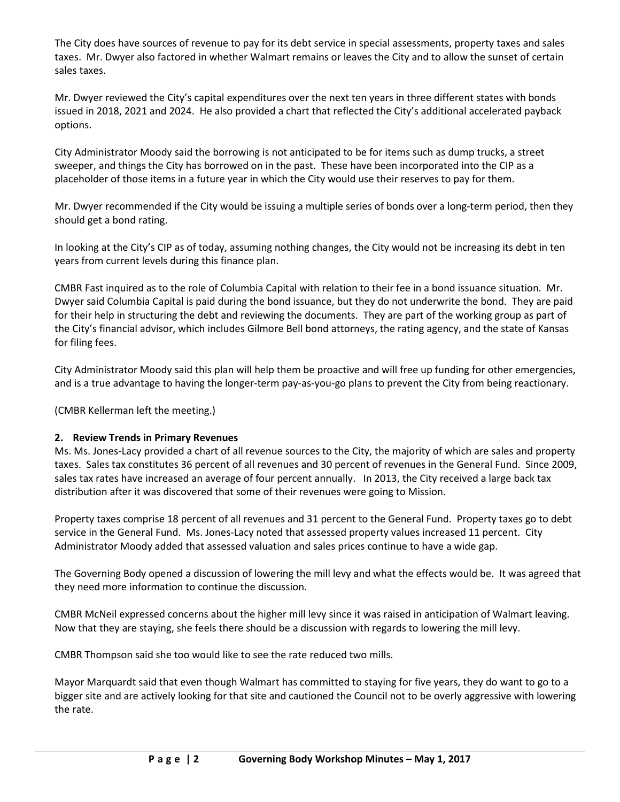The City does have sources of revenue to pay for its debt service in special assessments, property taxes and sales taxes. Mr. Dwyer also factored in whether Walmart remains or leaves the City and to allow the sunset of certain sales taxes.

Mr. Dwyer reviewed the City's capital expenditures over the next ten years in three different states with bonds issued in 2018, 2021 and 2024. He also provided a chart that reflected the City's additional accelerated payback options.

City Administrator Moody said the borrowing is not anticipated to be for items such as dump trucks, a street sweeper, and things the City has borrowed on in the past. These have been incorporated into the CIP as a placeholder of those items in a future year in which the City would use their reserves to pay for them.

Mr. Dwyer recommended if the City would be issuing a multiple series of bonds over a long-term period, then they should get a bond rating.

In looking at the City's CIP as of today, assuming nothing changes, the City would not be increasing its debt in ten years from current levels during this finance plan.

CMBR Fast inquired as to the role of Columbia Capital with relation to their fee in a bond issuance situation. Mr. Dwyer said Columbia Capital is paid during the bond issuance, but they do not underwrite the bond. They are paid for their help in structuring the debt and reviewing the documents. They are part of the working group as part of the City's financial advisor, which includes Gilmore Bell bond attorneys, the rating agency, and the state of Kansas for filing fees.

City Administrator Moody said this plan will help them be proactive and will free up funding for other emergencies, and is a true advantage to having the longer-term pay-as-you-go plans to prevent the City from being reactionary.

(CMBR Kellerman left the meeting.)

# **2. Review Trends in Primary Revenues**

Ms. Ms. Jones-Lacy provided a chart of all revenue sources to the City, the majority of which are sales and property taxes. Sales tax constitutes 36 percent of all revenues and 30 percent of revenues in the General Fund. Since 2009, sales tax rates have increased an average of four percent annually. In 2013, the City received a large back tax distribution after it was discovered that some of their revenues were going to Mission.

Property taxes comprise 18 percent of all revenues and 31 percent to the General Fund. Property taxes go to debt service in the General Fund. Ms. Jones-Lacy noted that assessed property values increased 11 percent. City Administrator Moody added that assessed valuation and sales prices continue to have a wide gap.

The Governing Body opened a discussion of lowering the mill levy and what the effects would be. It was agreed that they need more information to continue the discussion.

CMBR McNeil expressed concerns about the higher mill levy since it was raised in anticipation of Walmart leaving. Now that they are staying, she feels there should be a discussion with regards to lowering the mill levy.

CMBR Thompson said she too would like to see the rate reduced two mills.

Mayor Marquardt said that even though Walmart has committed to staying for five years, they do want to go to a bigger site and are actively looking for that site and cautioned the Council not to be overly aggressive with lowering the rate.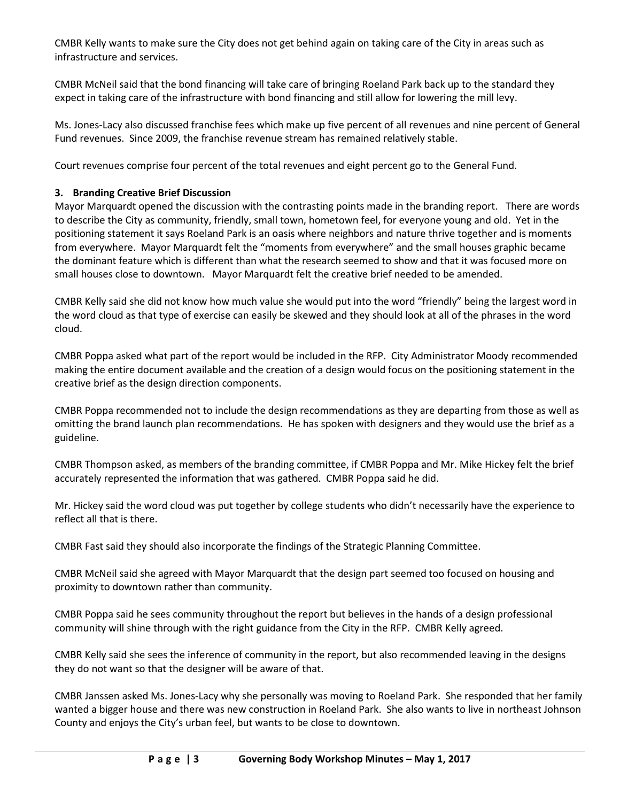CMBR Kelly wants to make sure the City does not get behind again on taking care of the City in areas such as infrastructure and services.

CMBR McNeil said that the bond financing will take care of bringing Roeland Park back up to the standard they expect in taking care of the infrastructure with bond financing and still allow for lowering the mill levy.

Ms. Jones-Lacy also discussed franchise fees which make up five percent of all revenues and nine percent of General Fund revenues. Since 2009, the franchise revenue stream has remained relatively stable.

Court revenues comprise four percent of the total revenues and eight percent go to the General Fund.

# **3. Branding Creative Brief Discussion**

Mayor Marquardt opened the discussion with the contrasting points made in the branding report. There are words to describe the City as community, friendly, small town, hometown feel, for everyone young and old. Yet in the positioning statement it says Roeland Park is an oasis where neighbors and nature thrive together and is moments from everywhere. Mayor Marquardt felt the "moments from everywhere" and the small houses graphic became the dominant feature which is different than what the research seemed to show and that it was focused more on small houses close to downtown. Mayor Marquardt felt the creative brief needed to be amended.

CMBR Kelly said she did not know how much value she would put into the word "friendly" being the largest word in the word cloud as that type of exercise can easily be skewed and they should look at all of the phrases in the word cloud.

CMBR Poppa asked what part of the report would be included in the RFP. City Administrator Moody recommended making the entire document available and the creation of a design would focus on the positioning statement in the creative brief as the design direction components.

CMBR Poppa recommended not to include the design recommendations as they are departing from those as well as omitting the brand launch plan recommendations. He has spoken with designers and they would use the brief as a guideline.

CMBR Thompson asked, as members of the branding committee, if CMBR Poppa and Mr. Mike Hickey felt the brief accurately represented the information that was gathered. CMBR Poppa said he did.

Mr. Hickey said the word cloud was put together by college students who didn't necessarily have the experience to reflect all that is there.

CMBR Fast said they should also incorporate the findings of the Strategic Planning Committee.

CMBR McNeil said she agreed with Mayor Marquardt that the design part seemed too focused on housing and proximity to downtown rather than community.

CMBR Poppa said he sees community throughout the report but believes in the hands of a design professional community will shine through with the right guidance from the City in the RFP. CMBR Kelly agreed.

CMBR Kelly said she sees the inference of community in the report, but also recommended leaving in the designs they do not want so that the designer will be aware of that.

CMBR Janssen asked Ms. Jones-Lacy why she personally was moving to Roeland Park. She responded that her family wanted a bigger house and there was new construction in Roeland Park. She also wants to live in northeast Johnson County and enjoys the City's urban feel, but wants to be close to downtown.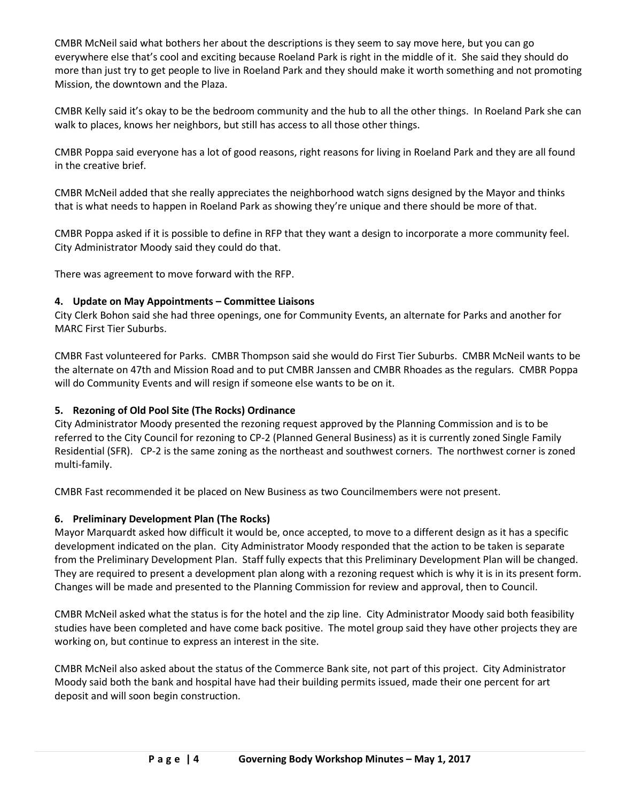CMBR McNeil said what bothers her about the descriptions is they seem to say move here, but you can go everywhere else that's cool and exciting because Roeland Park is right in the middle of it. She said they should do more than just try to get people to live in Roeland Park and they should make it worth something and not promoting Mission, the downtown and the Plaza.

CMBR Kelly said it's okay to be the bedroom community and the hub to all the other things. In Roeland Park she can walk to places, knows her neighbors, but still has access to all those other things.

CMBR Poppa said everyone has a lot of good reasons, right reasons for living in Roeland Park and they are all found in the creative brief.

CMBR McNeil added that she really appreciates the neighborhood watch signs designed by the Mayor and thinks that is what needs to happen in Roeland Park as showing they're unique and there should be more of that.

CMBR Poppa asked if it is possible to define in RFP that they want a design to incorporate a more community feel. City Administrator Moody said they could do that.

There was agreement to move forward with the RFP.

### **4. Update on May Appointments – Committee Liaisons**

City Clerk Bohon said she had three openings, one for Community Events, an alternate for Parks and another for MARC First Tier Suburbs.

CMBR Fast volunteered for Parks. CMBR Thompson said she would do First Tier Suburbs. CMBR McNeil wants to be the alternate on 47th and Mission Road and to put CMBR Janssen and CMBR Rhoades as the regulars. CMBR Poppa will do Community Events and will resign if someone else wants to be on it.

# **5. Rezoning of Old Pool Site (The Rocks) Ordinance**

City Administrator Moody presented the rezoning request approved by the Planning Commission and is to be referred to the City Council for rezoning to CP-2 (Planned General Business) as it is currently zoned Single Family Residential (SFR). CP-2 is the same zoning as the northeast and southwest corners. The northwest corner is zoned multi-family.

CMBR Fast recommended it be placed on New Business as two Councilmembers were not present.

# **6. Preliminary Development Plan (The Rocks)**

Mayor Marquardt asked how difficult it would be, once accepted, to move to a different design as it has a specific development indicated on the plan. City Administrator Moody responded that the action to be taken is separate from the Preliminary Development Plan. Staff fully expects that this Preliminary Development Plan will be changed. They are required to present a development plan along with a rezoning request which is why it is in its present form. Changes will be made and presented to the Planning Commission for review and approval, then to Council.

CMBR McNeil asked what the status is for the hotel and the zip line. City Administrator Moody said both feasibility studies have been completed and have come back positive. The motel group said they have other projects they are working on, but continue to express an interest in the site.

CMBR McNeil also asked about the status of the Commerce Bank site, not part of this project. City Administrator Moody said both the bank and hospital have had their building permits issued, made their one percent for art deposit and will soon begin construction.